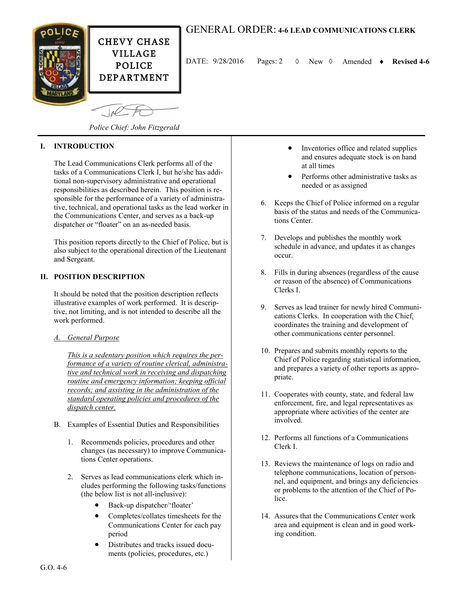

## GENERAL ORDER: **4-6 LEAD COMMUNICATIONS CLERK**

DATE: 9/28/2016 Pages: 2 New Amended **Revised 4-6**

*Police Chief: John Fitzgerald*

## **I. INTRODUCTION**

The Lead Communications Clerk performs all of the tasks of a Communications Clerk I, but he/she has additional non-supervisory administrative and operational responsibilities as described herein. This position is responsible for the performance of a variety of administrative, technical, and operational tasks as the lead worker in the Communications Center, and serves as a back-up dispatcher or "floater" on an as-needed basis.

This position reports directly to the Chief of Police, but is also subject to the operational direction of the Lieutenant and Sergeant.

## **II. POSITION DESCRIPTION**

It should be noted that the position description reflects illustrative examples of work performed. It is descriptive, not limiting, and is not intended to describe all the work performed.

## *A. General Purpose*

*This is a sedentary position which requires the performance of a variety of routine clerical, administrative and technical work in receiving and dispatching routine and emergency information; keeping official records; and assisting in the administration of the standard operating policies and procedures of the dispatch center.*

- B. Examples of Essential Duties and Responsibilities
	- 1. Recommends policies, procedures and other changes (as necessary) to improve Communications Center operations.
	- 2. Serves as lead communications clerk which includes performing the following tasks/functions (the below list is not all-inclusive):
		- Back-up dispatcher/'floater'
		- Completes/collates timesheets for the Communications Center for each pay period
		- Distributes and tracks issued documents (policies, procedures, etc.)
- Inventories office and related supplies and ensures adequate stock is on hand at all times
- Performs other administrative tasks as needed or as assigned
- 6. Keeps the Chief of Police informed on a regular basis of the status and needs of the Communications Center.
- 7. Develops and publishes the monthly work schedule in advance, and updates it as changes occur.
- 8. Fills in during absences (regardless of the cause or reason of the absence) of Communications Clerks I.
- 9. Serves as lead trainer for newly hired Communications Clerks. In cooperation with the Chief*,*  coordinates the training and development of other communications center personnel.
- 10. Prepares and submits monthly reports to the Chief of Police regarding statistical information, and prepares a variety of other reports as appropriate.
- 11. Cooperates with county, state, and federal law enforcement, fire, and legal representatives as appropriate where activities of the center are involved.
- 12. Performs all functions of a Communications Clerk I.
- 13. Reviews the maintenance of logs on radio and telephone communications, location of personnel, and equipment, and brings any deficiencies or problems to the attention of the Chief of Police.
- 14. Assures that the Communications Center work area and equipment is clean and in good working condition.